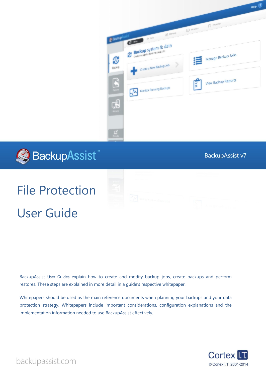



# **BackupAssist v7**

# File Protection User Guide

BackupAssist User Guides explain how to create and modify backup jobs, create backups and perform restores. These steps are explained in more detail in a guide's respective whitepaper.

Whitepapers should be used as the main reference documents when planning your backups and your data protection strategy. Whitepapers include important considerations, configuration explanations and the implementation information needed to use BackupAssist effectively.



backupassist.com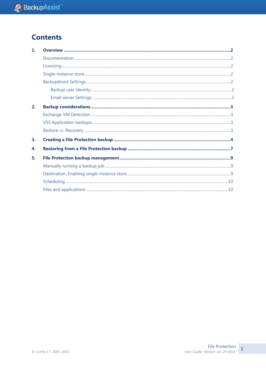# **Contents**

| $\mathbf{1}$ |  |
|--------------|--|
|              |  |
|              |  |
|              |  |
|              |  |
|              |  |
|              |  |
| 2.           |  |
|              |  |
|              |  |
|              |  |
| 3.           |  |
| 4.           |  |
| 5.           |  |
|              |  |
|              |  |
|              |  |
|              |  |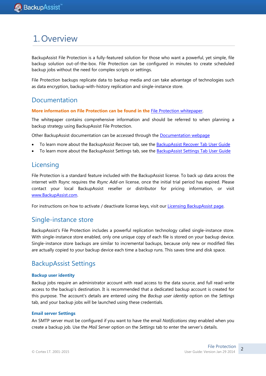# 1.Overview

BackupAssist File Protection is a fully-featured solution for those who want a powerful, yet simple, file backup solution out-of-the-box. File Protection can be configured in minutes to create scheduled backup jobs without the need for complex scripts or settings.

File Protection backups replicate data to backup media and can take advantage of technologies such as data encryption, backup-with-history replication and single-instance store.

### Documentation

**More information on File Protection can be found in the** [File Protection whitepaper.](http://www.backupassist.com/downloads/whitepapers/file_protection_whitepaper.pdf)

The whitepaper contains comprehensive information and should be referred to when planning a backup strategy using BackupAssist File Protection.

Other BackupAssist documentation can be accessed through the [Documentation webpage](http://www.backupassist.com/education/#backupassist_v7)

- To learn more about the BackupAssist Recover tab, see the [BackupAssist Recover Tab User Guide](http://www.backupassist.com/education/whitepapers/recover_whitepaper.html)
- To learn more about the BackupAssist Settings tab, see the [BackupAssist Settings Tab User Guide](http://www.backupassist.com/education/whitepapers/backupassist_settings.html)

### **Licensing**

File Protection is a standard feature included with the BackupAssist license. To back up data across the internet with Rsync requires the *Rsync Add-on* license, once the initial trial period has expired. Please contact your local BackupAssist reseller or distributor for pricing information, or visit [www.BackupAssist.com.](http://www.backupassist.com/)

For instructions on how to activate / deactivate license keys, visit our [Licensing BackupAssist page.](http://www.backupassist.com/education/whitepapers/licensing_backupassist.html)

### Single-instance store

BackupAssist's File Protection includes a powerful replication technology called single-instance store. With single-instance store enabled, only one unique copy of each file is stored on your backup device. Single-instance store backups are similar to incremental backups, because only new or modified files are actually copied to your backup device each time a backup runs. This saves time and disk space.

# BackupAssist Settings

### **Backup user identity**

Backup jobs require an administrator account with read access to the data source, and full read-write access to the backup's destination. It is recommended that a dedicated backup account is created for this purpose. The account's details are entered using the *Backup user identity* option on the *Settings* tab, and your backup jobs will be launched using these credentials.

### **Email server Settings**

An SMTP server must be configured if you want to have the email *Notifications* step enabled when you create a backup job. Use the *Mail Server* option on the *Settings* tab to enter the server's details.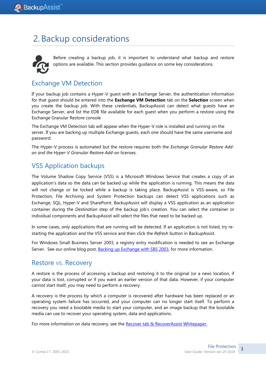# 2. Backup considerations



 Before creating a backup job, it is important to understand what backup and restore options are available. This section provides guidance on some key considerations.

# <span id="page-3-0"></span>Exchange VM Detection

If your backup job contains a Hyper-V guest with an Exchange Server, the authentication information for that guest should be entered into the **Exchange VM Detection** tab on the **Selection** screen when you create the backup job. With these credentials, BackupAssist can detect what guests have an Exchange Server, and list the EDB file available for each guest when you perform a restore using the Exchange Granular Restore console

The Exchange VM Detection tab will appear when the Hyper-V role is installed and running on the server. If you are backing up multiple Exchange guests, each one should have the same username and password.

The Hyper-V process is automated but the restore requires both the *Exchange Granular Restore Addon and the Hyper-V Granular Restore Add-on* licenses.

# VSS Application backups

The Volume Shadow Copy Service (VSS) is a Microsoft Windows Service that creates a copy of an application's data so the data can be backed up while the application is running. This means the data will not change or be locked while a backup is taking place. BackupAssist is VSS-aware, so File Protection, File Archiving and System Protection backups can detect VSS applications such as Exchange, SQL, Hyper-V and SharePoint. BackupAssist will display a VSS application as an application container during the *Destination* step of the backup job's creation. You can select the container or individual components and BackupAssist will select the files that need to be backed up.

In some cases, only applications that are running will be detected. If an application is not listed, try restarting the application and the VSS service and then click the *Refresh* button in BackupAssist.

For Windows Small Business Server 2003, a registry entry modification is needed to see an Exchange Server. See our online blog post, [Backing up Exchange with SBS 2003,](http://www.backupassist.com/blog/support/backup-up-exchange-2003-with-rsync-and-file-replication/) for more information.

### Restore vs. Recovery

A restore is the process of accessing a backup and restoring it to the original (or a new) location, if your data is lost, corrupted or if you want an earlier version of that data. However, if your computer cannot start itself, you may need to perform a recovery.

A recovery is the process by which a computer is recovered after hardware has been replaced or an operating system failure has occurred, and your computer can no longer start itself. To perform a recovery you need a bootable media to start your computer, and an image backup that the bootable media can use to recover your operating system, data and applications.

For more information on data recovery, see the [Recover tab & RecoverAssist Whitepaper.](http://www.backupassist.com/education/whitepapers/recover_whitepaper.html)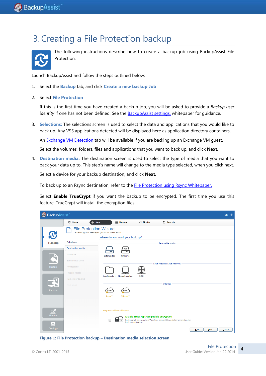# 3.Creating a File Protection backup



The following instructions describe how to create a backup job using BackupAssist File Protection.

Launch BackupAssist and follow the steps outlined below:

- 1. Select the **Backup** tab, and click **Create a new backup Job**
- 2. Select **File Protection**

If this is the first time you have created a backup job, you will be asked to provide a *Backup user identity* if one has not been defined. See the [BackupAssist settings,](http://rick.backupassist.com/education/whitepapers/backupassist_settings.html) whitepaper for guidance.

3. **Selections:** The selections screen is used to select the data and applications that you would like to back up. Any VSS applications detected will be displayed here as application directory containers.

An [Exchange VM Detection](#page-3-0) tab will be available if you are backing up an Exchange VM guest.

Select the volumes, folders, files and applications that you want to back up, and click **Next.**

4. **Destination media:** The destination screen is used to select the type of media that you want to back your data up to. This step's name will change to the media type selected, when you click next.

Select a device for your backup destination, and click **Next.**

To back up to an Rsync destination, refer to the **File Protection using Rsync Whitepaper**.

Select **Enable TrueCrypt** if you want the backup to be encrypted. The first time you use this feature, TrueCrypt will install the encryption files.

| <b>BackupAssist</b><br>Help <sub>2</sub> |                                                                                                                            |                      |                               |                                               |                                                                           |                          |  |  |
|------------------------------------------|----------------------------------------------------------------------------------------------------------------------------|----------------------|-------------------------------|-----------------------------------------------|---------------------------------------------------------------------------|--------------------------|--|--|
|                                          | <b>&amp; Home</b>                                                                                                          | $+$ New              | <b>E</b> Manage               | Monitor                                       | $\left  \vec{x} \right $<br><b>Reports</b>                                |                          |  |  |
| <b>R</b>                                 | <b>File Protection Wizard</b><br>Select the type of backup job you would like to create<br>Where do you want your back up? |                      |                               |                                               |                                                                           |                          |  |  |
| <b>Backup</b>                            | Selections                                                                                                                 |                      |                               |                                               | Removable media                                                           |                          |  |  |
|                                          | <b>Destination media</b>                                                                                                   |                      | RDX<br>$\overline{\cdot}$     |                                               |                                                                           |                          |  |  |
|                                          | Schedule                                                                                                                   | <b>External disk</b> | <b>RDX</b> drive              |                                               |                                                                           |                          |  |  |
|                                          | Set up destination                                                                                                         |                      |                               |                                               | Local media & Local network                                               |                          |  |  |
| Restore                                  | Notifications                                                                                                              |                      |                               |                                               |                                                                           |                          |  |  |
|                                          | Prepare media                                                                                                              | Local directory      | Network location              | <b>ISCSI</b>                                  |                                                                           |                          |  |  |
| £                                        | Name your backup                                                                                                           |                      |                               |                                               |                                                                           |                          |  |  |
|                                          | Next steps                                                                                                                 |                      |                               |                                               | Internet                                                                  |                          |  |  |
| Recover                                  |                                                                                                                            | <b>RSYN</b>          | RSYNC                         |                                               |                                                                           |                          |  |  |
|                                          |                                                                                                                            | Rsync*               | 53Rsync*                      |                                               |                                                                           |                          |  |  |
|                                          |                                                                                                                            |                      |                               |                                               |                                                                           |                          |  |  |
| $\Box$                                   |                                                                                                                            |                      | * Requires additional license |                                               |                                                                           |                          |  |  |
| Remote                                   |                                                                                                                            |                      |                               | <b>Enable TrueCrypt-compatible encryption</b> |                                                                           |                          |  |  |
| ≎                                        |                                                                                                                            | E                    | backup destination.           |                                               | Backups will be stored in a TrueCrypt-compatible container created on the |                          |  |  |
| Settings                                 |                                                                                                                            |                      |                               |                                               |                                                                           | Next<br>$Back$<br>Cancel |  |  |

**Figure 1: File Protection backup – Destination media selection screen**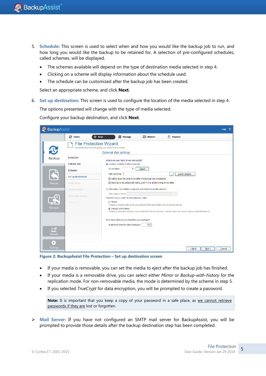- 5. **Schedule:** This screen is used to select when and how you would like the backup job to run, and how long you would like the backup to be retained for. A selection of pre-configured schedules, called schemes, will be displayed.
	- The schemes available will depend on the type of destination media selected in step 4.
	- Clicking on a scheme will display information about the schedule used.
	- The schedule can be customized after the backup job has been created.

Select an appropriate scheme, and click **Next**.

6. **Set up destination:** This screen is used to configure the location of the media selected in step 4. The options presented will change with the type of media selected.

Configure your backup destination, and click **Next**.

| BackupAssist     |                      |                                                                                                                                                       | Help   |  |  |  |  |
|------------------|----------------------|-------------------------------------------------------------------------------------------------------------------------------------------------------|--------|--|--|--|--|
|                  | <b><i>C</i></b> Home | $+$ New<br>$\equiv$ Manage<br>$ \vec{x} $ Reports<br>$M$ Monitor                                                                                      |        |  |  |  |  |
| $\mathbf{C}$     |                      | <b>File Protection Wizard</b><br>Select the type of backup job you would like to create                                                               |        |  |  |  |  |
| <b>Backup</b>    | <b>Selections</b>    | <b>External disk settings</b><br>Where are your hard drives connected?                                                                                |        |  |  |  |  |
|                  | <b>External disk</b> | locally - directly to this computer                                                                                                                   |        |  |  |  |  |
|                  | Schedule             | Drive letter:<br>Detect<br>▼<br>Path on drive: \<br>Insert variable                                                                                   |        |  |  |  |  |
|                  | Set up destination   | Safely eject the hard drive after the backup has completed                                                                                            |        |  |  |  |  |
| Restore          | Notifications        | Back up to my prepared media, even if it is at the wrong drive letter                                                                                 |        |  |  |  |  |
|                  | Prepare media        | Remotely - to another computer, and shared over the network                                                                                           |        |  |  |  |  |
|                  |                      | UNC path to drive:                                                                                                                                    |        |  |  |  |  |
|                  | Name your backup     | Choose how you wish to replicate your data:                                                                                                           |        |  |  |  |  |
|                  | Next steps           | <b>Mirror</b><br>Creates one exact replica of your selected files and folders to the backup device                                                    |        |  |  |  |  |
| Recover          |                      | <sup>O</sup> Backup with history<br>Creates a separate replica of your selected files and folders - one for each day - providing for archival backups |        |  |  |  |  |
|                  |                      | How many disks do you have for your backups?                                                                                                          |        |  |  |  |  |
|                  |                      | $2 \div$<br>Number of disks for daily backups:                                                                                                        |        |  |  |  |  |
| $\Box$<br>Remote |                      |                                                                                                                                                       |        |  |  |  |  |
|                  |                      |                                                                                                                                                       |        |  |  |  |  |
| o                |                      |                                                                                                                                                       |        |  |  |  |  |
| <b>Settings</b>  |                      | $Back$<br>Next                                                                                                                                        | Cancel |  |  |  |  |

**Figure 2: BackupAssist File Protection – Set up destination screen**

- If your media is removable, you can set the media to eject after the backup job has finished.
- If your media is a removable drive, you can select either *Mirror* or *Backup-with-history* for the replication mode. For non-removable media, the mode is determined by the scheme in step 5.
- If you selected *TrueCrypt* for data encryption, you will be prompted to create a password.

Note: It is important that you keep a copy of your password in a safe place, as we cannot retrieve passwords if they are lost or forgotten.

 **Mail Server:** If you have not configured an SMTP mail server for BackupAssist, you will be prompted to provide those details after the backup destination step has been completed.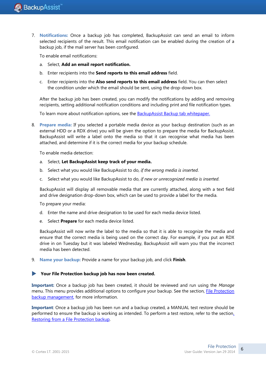7. **Notifications:** Once a backup job has completed, BackupAssist can send an email to inform selected recipients of the result. This email notification can be enabled during the creation of a backup job, if the mail server has been configured.

To enable email notifications:

- a. Select, **Add an email report notification.**
- b. Enter recipients into the **Send reports to this email address** field.
- c. Enter recipients into the **Also send reports to this email address** field. You can then select the condition under which the email should be sent, using the drop-down box.

After the backup job has been created, you can modify the notifications by adding and removing recipients, setting additional notification conditions and including print and file notification types.

To learn more about notification options, see the **BackupAssist Backup tab whitepaper.** 

8. **Prepare media:** If you selected a portable media device as your backup destination (such as an external HDD or a RDX drive) you will be given the option to prepare the media for BackupAssist. BackupAssist will write a label onto the media so that it can recognise what media has been attached, and determine if it is the correct media for your backup schedule.

To enable media detection:

- a. Select, **Let BackupAssist keep track of your media.**
- b. Select what you would like BackupAssist to do, *if the wrong media is inserted*.
- c. Select what you would like BackupAssist to do, *if new or unrecognized media is inserted*.

BackupAssist will display all removable media that are currently attached, along with a text field and drive designation drop-down box, which can be used to provide a label for the media.

To prepare your media:

- d. Enter the name and drive designation to be used for each media device listed.
- e. Select **Prepare** for each media device listed.

BackupAssist will now write the label to the media so that it is able to recognize the media and ensure that the correct media is being used on the correct day. For example, if you put an RDX drive in on Tuesday but it was labeled Wednesday, BackupAssist will warn you that the incorrect media has been detected.

9. **Name your backup:** Provide a name for your backup job, and click **Finish**.

### **Your File Protection backup job has now been created.**

**Important:** Once a backup job has been created, it should be reviewed and run using the *Manage* menu. This menu provides additional options to configure your backup. See the section, [File Protection](#page-9-0)  [backup management,](#page-9-0) for more information.

**Important**: Once a backup job has been run and a backup created, a MANUAL test restore should be performed to ensure the backup is working as intended. To perform a test restore, refer to the sectio[n,](#page-7-0)  Restoring from a [File Protection backup.](#page-7-0)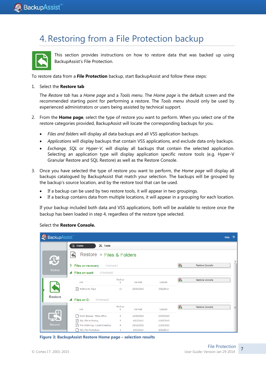# <span id="page-7-0"></span>4.Restoring from a File Protection backup



This section provides instructions on how to restore data that was backed up using BackupAssist's File Protection.

To restore data from a **File Protection** backup, start BackupAssist and follow these steps:

#### 1. Select the **Restore tab**

The *Restore tab* has a *Home page* and a *Tools menu*. The *Home page* is the default screen and the recommended starting point for performing a restore. The *Tools menu* should only be used by experienced administrators or users being assisted by technical support.

- 2. From the **Home page**, select the type of restore you want to perform. When you select one of the restore categories provided, BackupAssist will locate the corresponding backups for you.
	- *Files and folders* will display all data backups and all VSS application backups.
	- *Applications* will display backups that contain VSS applications, and exclude data only backups.
	- *Exchange*, *SQL* or *Hyper-V*, will display all backups that contain the selected application. Selecting an application type will display application specific restore tools (e.g. Hyper-V Granular Restore and SQL Restore) as well as the Restore Console.
- 3. Once you have selected the type of restore you want to perform, the *Home page* will display all backups catalogued by BackupAssist that match your selection. The backups will be grouped by the backup's source location, and by the restore tool that can be used.
	- If a backup can be used by two restore tools, it will appear in two groupings.
	- If a backup contains data from multiple locations, it will appear in a grouping for each location.

If your backup included both data and VSS applications, both will be available to restore once the backup has been loaded in step 4, regardless of the restore type selected.

| BackupAssist   |                                                                      |             |            |            |                  |                        | Help | $\overline{2}$ |
|----------------|----------------------------------------------------------------------|-------------|------------|------------|------------------|------------------------|------|----------------|
|                | $\mathbb{X}$ Tools<br>$\blacksquare$<br>Home                         |             |            |            |                  |                        |      |                |
| $\mathbf{C}$   | Restore ▶ Files & Folders                                            |             |            |            | $\blacktriangle$ |                        |      |                |
|                | G<br>D<br>Restore Console<br><b>Files on recovery</b><br>1 backup(s) |             |            |            |                  |                        |      |                |
| Backup         | <b>Files on work</b><br>13 backup(s)<br>◢                            |             |            |            |                  |                        |      |                |
|                | Job                                                                  | Backup<br>s | Earliest   | Latests    | G                | <b>Restore Console</b> |      |                |
|                | 图 Archive to Tape                                                    | 13          | 22/01/2013 | 7/02/2013  |                  |                        |      |                |
| <b>Restore</b> | Files on C:<br>◢<br>41 backup(s)                                     |             |            |            |                  |                        |      |                |
|                | Job                                                                  | Backup<br>s | Earliest   | Latests    | G                | Restore Console        |      | Ξ              |
|                | Daily Backup - Main office<br>Гħ                                     | 3           | 11/02/2013 | 13/02/2013 |                  |                        |      |                |
|                | SQL File Archiving                                                   | 3           | 8/02/2013  | 12/02/2013 |                  |                        |      |                |
| Recover        | File Archiving - Local Directory                                     | 4           | 30/11/2012 | 11/02/2013 |                  |                        |      |                |
|                | <b>SQL File Protection</b>                                           | 1           | 8/02/2013  | 8/02/2013  |                  |                        |      |                |

**Figure 3: BackupAssist Restore Home page – selection results**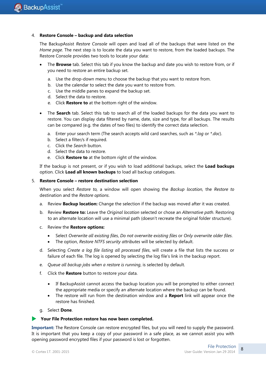#### 4. **Restore Console – backup and data selection**

The BackupAssist *Restore Console* will open and load all of the backups that were listed on the *Home page*. The next step is to locate the data you want to restore, from the loaded backups. The Restore Console provides two tools to locate your data:

- The **Browse** tab. Select this tab if you know the backup and date you wish to restore from, or if you need to restore an entire backup set.
	- a. Use the drop-down menu to choose the backup that you want to restore from.
	- b. Use the calendar to select the date you want to restore from.
	- c. Use the middle panes to expand the backup set.
	- d. Select the data to restore.
	- e. Click **Restore to** at the bottom right of the window.
- The **Search** tab. Select this tab to search all of the loaded backups for the data you want to restore. You can display data filtered by name, date, size and type, for all backups. The results can be compared (e.g. the dates of two files) to identify the correct data selection.
	- a. Enter your search term (The search accepts wild card searches, such as *\*.log* or *\*.doc*).
	- b. Select a filter/s if required.
	- c. Click the *Search* button.
	- d. Select the data to restore.
	- e. Click **Restore to** at the bottom right of the window.

If the backup is not present, or if you wish to load additional backups, select the **Load backups** option. Click **Load all known backups** to load all backup catalogues.

#### 5. **Restore Console – restore destination selection**

When you select *Restore to,* a window will open showing the *Backup location,* the *Restore to* destination and the *Restore options*.

- a. Review **Backup location:** Change the selection if the backup was moved after it was created.
- b. Review **Restore to:** Leave the *Original location* selected or chose an *Alternative path*. Restoring to an alternate location will use a minimal path (doesn't recreate the original folder structure).
- c. Review the **Restore options:**
	- Select *Overwrite all existing files*, *Do not overwrite existing files* or *Only overwrite older files*.
	- The option, *Restore NTFS security attributes* will be selected by default.
- d. Selecting *Create a log file listing all processed files*, will create a file that lists the success or failure of each file. The log is opened by selecting the log file's link in the backup report.
- e. *Queue all backup jobs when a restore is running*, is selected by default.
- f. Click the **Restore** button to restore your data.
	- If BackupAssist cannot access the backup location you will be prompted to either connect the appropriate media or specify an alternate location where the backup can be found.
	- The restore will run from the destination window and a **Report** link will appear once the restore has finished.
- g. Select **Done**.

#### **Your File Protection restore has now been completed.**

**Important:** The Restore Console can restore encrypted files, but you will need to supply the password. It is important that you keep a copy of your password in a safe place, as we cannot assist you with opening password encrypted files if your password is lost or forgotten.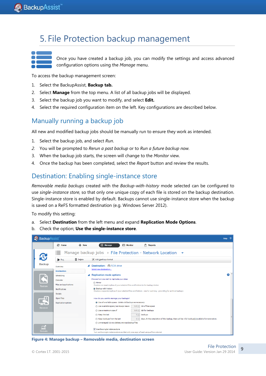# <span id="page-9-0"></span>5. File Protection backup management



Once you have created a backup job, you can modify the settings and access advanced configuration options using the *Manage* menu.

To access the backup management screen:

- 1. Select the BackupAssist, **Backup tab.**
- 2. Select **Manage** from the top menu. A list of all backup jobs will be displayed.
- 3. Select the backup job you want to modify, and select **Edit.**
- 4. Select the required configuration item on the left. Key configurations are described below.

# Manually running a backup job

All new and modified backup jobs should be manually run to ensure they work as intended.

- 1. Select the backup job, and select *Run*.
- *2.* You will be prompted to *Rerun a past backup* or to *Run a future backup now.*
- 3. When the backup job starts, the screen will change to the *Monitor* view.
- 4. Once the backup has been completed, select the *Report* button and review the results.

### Destination: Enabling single-instance store

*Removable media backups* created with the *Backup-with-history* mode selected can be configured to use *single-instance store*, so that only one unique copy of each file is stored on the backup destination. Single-instance store is enabled by default. Backups cannot use single-instance store when the backup is saved on a ReFS formatted destination (e.g. Windows Server 2012).

To modify this setting:

- a. Select **Destination** from the left menu and expand **Replication Mode Options**.
- b. Check the option; **Use the single-instance store**.



**Figure 4: Manage backup – Removable media, destination screen**